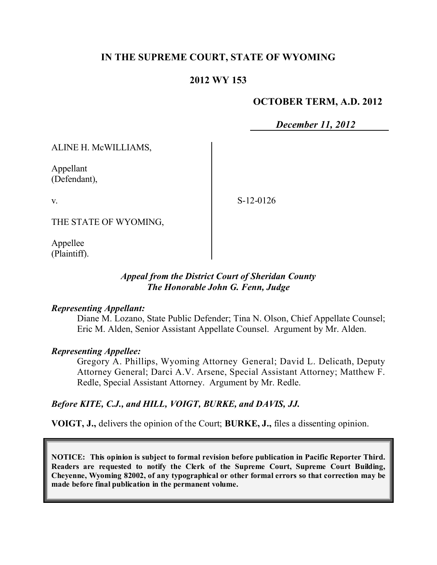# **IN THE SUPREME COURT, STATE OF WYOMING**

# **2012 WY 153**

## **OCTOBER TERM, A.D. 2012**

*December 11, 2012*

ALINE H. McWILLIAMS,

Appellant (Defendant),

v.

S-12-0126

THE STATE OF WYOMING,

Appellee (Plaintiff).

## *Appeal from the District Court of Sheridan County The Honorable John G. Fenn, Judge*

#### *Representing Appellant:*

Diane M. Lozano, State Public Defender; Tina N. Olson, Chief Appellate Counsel; Eric M. Alden, Senior Assistant Appellate Counsel. Argument by Mr. Alden.

### *Representing Appellee:*

Gregory A. Phillips, Wyoming Attorney General; David L. Delicath, Deputy Attorney General; Darci A.V. Arsene, Special Assistant Attorney; Matthew F. Redle, Special Assistant Attorney. Argument by Mr. Redle.

### *Before KITE, C.J., and HILL, VOIGT, BURKE, and DAVIS, JJ.*

**VOIGT, J.,** delivers the opinion of the Court; **BURKE, J.,** files a dissenting opinion.

**NOTICE: This opinion is subject to formal revision before publication in Pacific Reporter Third. Readers are requested to notify the Clerk of the Supreme Court, Supreme Court Building, Cheyenne, Wyoming 82002, of any typographical or other formal errors so that correction may be made before final publication in the permanent volume.**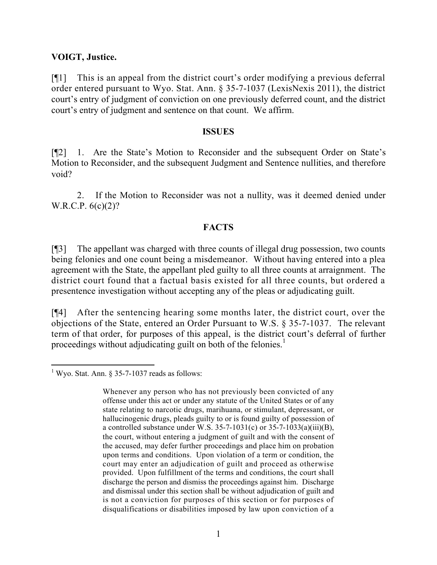## **VOIGT, Justice.**

[¶1] This is an appeal from the district court's order modifying a previous deferral order entered pursuant to Wyo. Stat. Ann. § 35-7-1037 (LexisNexis 2011), the district court's entry of judgment of conviction on one previously deferred count, and the district court's entry of judgment and sentence on that count. We affirm.

#### **ISSUES**

[¶2] 1. Are the State's Motion to Reconsider and the subsequent Order on State's Motion to Reconsider, and the subsequent Judgment and Sentence nullities, and therefore void?

2. If the Motion to Reconsider was not a nullity, was it deemed denied under W.R.C.P. 6(c)(2)?

## **FACTS**

[¶3] The appellant was charged with three counts of illegal drug possession, two counts being felonies and one count being a misdemeanor. Without having entered into a plea agreement with the State, the appellant pled guilty to all three counts at arraignment. The district court found that a factual basis existed for all three counts, but ordered a presentence investigation without accepting any of the pleas or adjudicating guilt.

[¶4] After the sentencing hearing some months later, the district court, over the objections of the State, entered an Order Pursuant to W.S. § 35-7-1037. The relevant term of that order, for purposes of this appeal, is the district court's deferral of further proceedings without adjudicating guilt on both of the felonies.<sup>1</sup>

 <sup>1</sup> Wyo. Stat. Ann. § 35-7-1037 reads as follows:

Whenever any person who has not previously been convicted of any offense under this act or under any statute of the United States or of any state relating to narcotic drugs, marihuana, or stimulant, depressant, or hallucinogenic drugs, pleads guilty to or is found guilty of possession of a controlled substance under W.S.  $35-7-1031(c)$  or  $35-7-1033(a)(iii)(B)$ , the court, without entering a judgment of guilt and with the consent of the accused, may defer further proceedings and place him on probation upon terms and conditions. Upon violation of a term or condition, the court may enter an adjudication of guilt and proceed as otherwise provided. Upon fulfillment of the terms and conditions, the court shall discharge the person and dismiss the proceedings against him. Discharge and dismissal under this section shall be without adjudication of guilt and is not a conviction for purposes of this section or for purposes of disqualifications or disabilities imposed by law upon conviction of a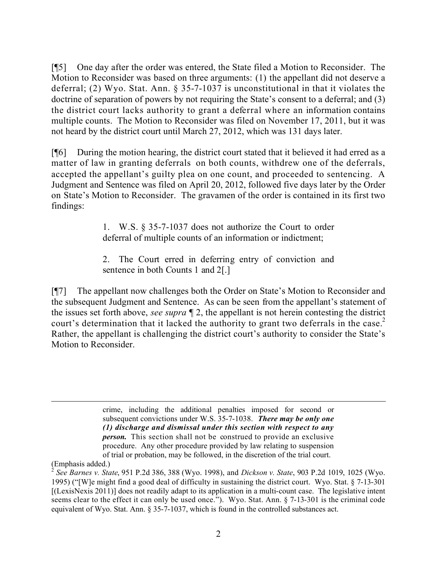[¶5] One day after the order was entered, the State filed a Motion to Reconsider. The Motion to Reconsider was based on three arguments: (1) the appellant did not deserve a deferral; (2) Wyo. Stat. Ann. § 35-7-1037 is unconstitutional in that it violates the doctrine of separation of powers by not requiring the State's consent to a deferral; and (3) the district court lacks authority to grant a deferral where an information contains multiple counts. The Motion to Reconsider was filed on November 17, 2011, but it was not heard by the district court until March 27, 2012, which was 131 days later.

[¶6] During the motion hearing, the district court stated that it believed it had erred as a matter of law in granting deferrals on both counts, withdrew one of the deferrals, accepted the appellant's guilty plea on one count, and proceeded to sentencing. A Judgment and Sentence was filed on April 20, 2012, followed five days later by the Order on State's Motion to Reconsider. The gravamen of the order is contained in its first two findings:

> 1. W.S. § 35-7-1037 does not authorize the Court to order deferral of multiple counts of an information or indictment;

> 2. The Court erred in deferring entry of conviction and sentence in both Counts 1 and 2[.]

[¶7] The appellant now challenges both the Order on State's Motion to Reconsider and the subsequent Judgment and Sentence. As can be seen from the appellant's statement of the issues set forth above, *see supra* ¶ 2, the appellant is not herein contesting the district court's determination that it lacked the authority to grant two deferrals in the case.<sup>2</sup> Rather, the appellant is challenging the district court's authority to consider the State's Motion to Reconsider.

> crime, including the additional penalties imposed for second or subsequent convictions under W.S. 35-7-1038. *There may be only one (1) discharge and dismissal under this section with respect to any person.* This section shall not be construed to provide an exclusive procedure. Any other procedure provided by law relating to suspension of trial or probation, may be followed, in the discretion of the trial court.

<sup>(</sup>Emphasis added.) 2 *See Barnes v. State*, 951 P.2d 386, 388 (Wyo. 1998), and *Dickson v. State*, 903 P.2d 1019, 1025 (Wyo. 1995) ("[W]e might find a good deal of difficulty in sustaining the district court. Wyo. Stat. § 7-13-301 [(LexisNexis 2011)] does not readily adapt to its application in a multi-count case. The legislative intent seems clear to the effect it can only be used once."). Wyo. Stat. Ann. § 7-13-301 is the criminal code equivalent of Wyo. Stat. Ann. § 35-7-1037, which is found in the controlled substances act.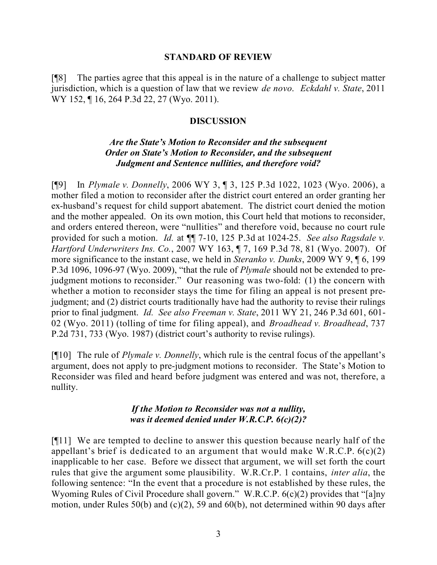#### **STANDARD OF REVIEW**

[¶8] The parties agree that this appeal is in the nature of a challenge to subject matter jurisdiction, which is a question of law that we review *de novo*. *Eckdahl v. State*, 2011 WY 152, ¶ 16, 264 P.3d 22, 27 (Wyo. 2011).

## **DISCUSSION**

# *Are the State's Motion to Reconsider and the subsequent Order on State's Motion to Reconsider, and the subsequent Judgment and Sentence nullities, and therefore void?*

[¶9] In *Plymale v. Donnelly*, 2006 WY 3, ¶ 3, 125 P.3d 1022, 1023 (Wyo. 2006), a mother filed a motion to reconsider after the district court entered an order granting her ex-husband's request for child support abatement. The district court denied the motion and the mother appealed. On its own motion, this Court held that motions to reconsider, and orders entered thereon, were "nullities" and therefore void, because no court rule provided for such a motion. *Id.* at ¶¶ 7-10, 125 P.3d at 1024-25. *See also Ragsdale v. Hartford Underwriters Ins. Co.*, 2007 WY 163, ¶ 7, 169 P.3d 78, 81 (Wyo. 2007). Of more significance to the instant case, we held in *Steranko v. Dunks*, 2009 WY 9, ¶ 6, 199 P.3d 1096, 1096-97 (Wyo. 2009), "that the rule of *Plymale* should not be extended to prejudgment motions to reconsider." Our reasoning was two-fold: (1) the concern with whether a motion to reconsider stays the time for filing an appeal is not present prejudgment; and (2) district courts traditionally have had the authority to revise their rulings prior to final judgment. *Id. See also Freeman v. State*, 2011 WY 21, 246 P.3d 601, 601- 02 (Wyo. 2011) (tolling of time for filing appeal), and *Broadhead v. Broadhead*, 737 P.2d 731, 733 (Wyo. 1987) (district court's authority to revise rulings).

[¶10] The rule of *Plymale v. Donnelly*, which rule is the central focus of the appellant's argument, does not apply to pre-judgment motions to reconsider. The State's Motion to Reconsider was filed and heard before judgment was entered and was not, therefore, a nullity.

# *If the Motion to Reconsider was not a nullity, was it deemed denied under W.R.C.P. 6(c)(2)?*

[¶11] We are tempted to decline to answer this question because nearly half of the appellant's brief is dedicated to an argument that would make W.R.C.P.  $6(c)(2)$ inapplicable to her case. Before we dissect that argument, we will set forth the court rules that give the argument some plausibility. W.R.Cr.P. 1 contains, *inter alia*, the following sentence: "In the event that a procedure is not established by these rules, the Wyoming Rules of Civil Procedure shall govern." W.R.C.P. 6(c)(2) provides that "[a]ny motion, under Rules 50(b) and (c)(2), 59 and 60(b), not determined within 90 days after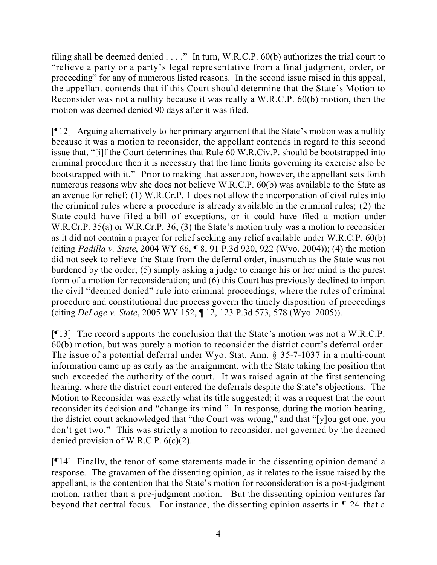filing shall be deemed denied  $\ldots$ ." In turn, W.R.C.P. 60(b) authorizes the trial court to "relieve a party or a party's legal representative from a final judgment, order, or proceeding" for any of numerous listed reasons. In the second issue raised in this appeal, the appellant contends that if this Court should determine that the State's Motion to Reconsider was not a nullity because it was really a W.R.C.P. 60(b) motion, then the motion was deemed denied 90 days after it was filed.

[¶12] Arguing alternatively to her primary argument that the State's motion was a nullity because it was a motion to reconsider, the appellant contends in regard to this second issue that, "[i]f the Court determines that Rule 60 W.R.Civ.P. should be bootstrapped into criminal procedure then it is necessary that the time limits governing its exercise also be bootstrapped with it." Prior to making that assertion, however, the appellant sets forth numerous reasons why she does not believe W.R.C.P. 60(b) was available to the State as an avenue for relief: (1) W.R.Cr.P. 1 does not allow the incorporation of civil rules into the criminal rules where a procedure is already available in the criminal rules; (2) the State could have filed a bill of exceptions, or it could have filed a motion under W.R.Cr.P. 35(a) or W.R.Cr.P. 36; (3) the State's motion truly was a motion to reconsider as it did not contain a prayer for relief seeking any relief available under W.R.C.P. 60(b) (citing *Padilla v. State*, 2004 WY 66, ¶ 8, 91 P.3d 920, 922 (Wyo. 2004)); (4) the motion did not seek to relieve the State from the deferral order, inasmuch as the State was not burdened by the order; (5) simply asking a judge to change his or her mind is the purest form of a motion for reconsideration; and (6) this Court has previously declined to import the civil "deemed denied" rule into criminal proceedings, where the rules of criminal procedure and constitutional due process govern the timely disposition of proceedings (citing *DeLoge v. State*, 2005 WY 152, ¶ 12, 123 P.3d 573, 578 (Wyo. 2005)).

[¶13] The record supports the conclusion that the State's motion was not a W.R.C.P. 60(b) motion, but was purely a motion to reconsider the district court's deferral order. The issue of a potential deferral under Wyo. Stat. Ann. § 35-7-1037 in a multi-count information came up as early as the arraignment, with the State taking the position that such exceeded the authority of the court. It was raised again at the first sentencing hearing, where the district court entered the deferrals despite the State's objections. The Motion to Reconsider was exactly what its title suggested; it was a request that the court reconsider its decision and "change its mind." In response, during the motion hearing, the district court acknowledged that "the Court was wrong," and that "[y]ou get one, you don't get two." This was strictly a motion to reconsider, not governed by the deemed denied provision of W.R.C.P. 6(c)(2).

[¶14] Finally, the tenor of some statements made in the dissenting opinion demand a response. The gravamen of the dissenting opinion, as it relates to the issue raised by the appellant, is the contention that the State's motion for reconsideration is a post-judgment motion, rather than a pre-judgment motion. But the dissenting opinion ventures far beyond that central focus. For instance, the dissenting opinion asserts in ¶ 24 that a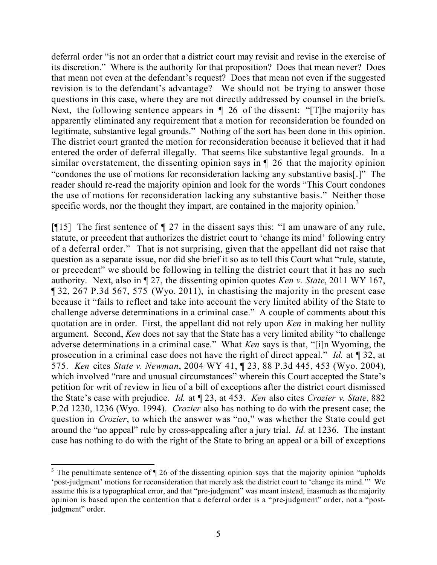deferral order "is not an order that a district court may revisit and revise in the exercise of its discretion." Where is the authority for that proposition? Does that mean never? Does that mean not even at the defendant's request? Does that mean not even if the suggested revision is to the defendant's advantage? We should not be trying to answer those questions in this case, where they are not directly addressed by counsel in the briefs. Next, the following sentence appears in  $\P$  26 of the dissent: "[T]he majority has apparently eliminated any requirement that a motion for reconsideration be founded on legitimate, substantive legal grounds." Nothing of the sort has been done in this opinion. The district court granted the motion for reconsideration because it believed that it had entered the order of deferral illegally. That seems like substantive legal grounds.In a similar overstatement, the dissenting opinion says in ¶ 26 that the majority opinion "condones the use of motions for reconsideration lacking any substantive basis[.]" The reader should re-read the majority opinion and look for the words "This Court condones the use of motions for reconsideration lacking any substantive basis." Neither those specific words, nor the thought they impart, are contained in the majority opinion.<sup>3</sup>

[¶15] The first sentence of ¶ 27 in the dissent says this: "I am unaware of any rule, statute, or precedent that authorizes the district court to 'change its mind' following entry of a deferral order." That is not surprising, given that the appellant did not raise that question as a separate issue, nor did she brief it so as to tell this Court what "rule, statute, or precedent" we should be following in telling the district court that it has no such authority. Next, also in ¶ 27, the dissenting opinion quotes *Ken v. State*, 2011 WY 167, ¶ 32, 267 P.3d 567, 575 (Wyo. 2011), in chastising the majority in the present case because it "fails to reflect and take into account the very limited ability of the State to challenge adverse determinations in a criminal case." A couple of comments about this quotation are in order. First, the appellant did not rely upon *Ken* in making her nullity argument. Second, *Ken* does not say that the State has a very limited ability "to challenge adverse determinations in a criminal case." What *Ken* says is that, "[i]n Wyoming, the prosecution in a criminal case does not have the right of direct appeal." *Id.* at ¶ 32, at 575. *Ken* cites *State v. Newman*, 2004 WY 41, ¶ 23, 88 P.3d 445, 453 (Wyo. 2004), which involved "rare and unusual circumstances" wherein this Court accepted the State's petition for writ of review in lieu of a bill of exceptions after the district court dismissed the State's case with prejudice. *Id.* at ¶ 23, at 453. *Ken* also cites *Crozier v. State*, 882 P.2d 1230, 1236 (Wyo. 1994). *Crozier* also has nothing to do with the present case; the question in *Crozier*, to which the answer was "no," was whether the State could get around the "no appeal" rule by cross-appealing after a jury trial. *Id.* at 1236. The instant case has nothing to do with the right of the State to bring an appeal or a bill of exceptions

 <sup>3</sup> The penultimate sentence of  $\P$  26 of the dissenting opinion says that the majority opinion "upholds" 'post-judgment' motions for reconsideration that merely ask the district court to 'change its mind.'" We assume this is a typographical error, and that "pre-judgment" was meant instead, inasmuch as the majority opinion is based upon the contention that a deferral order is a "pre-judgment" order, not a "postjudgment" order.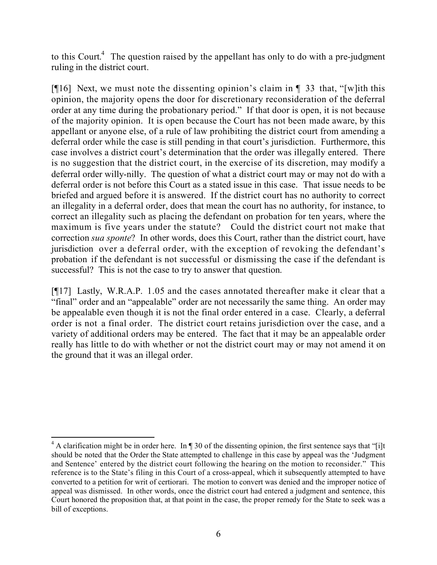to this Court.<sup>4</sup> The question raised by the appellant has only to do with a pre-judgment ruling in the district court.

[ $[16]$  Next, we must note the dissenting opinion's claim in  $[$  33 that, "[w] ith this opinion, the majority opens the door for discretionary reconsideration of the deferral order at any time during the probationary period." If that door is open, it is not because of the majority opinion. It is open because the Court has not been made aware, by this appellant or anyone else, of a rule of law prohibiting the district court from amending a deferral order while the case is still pending in that court's jurisdiction. Furthermore, this case involves a district court's determination that the order was illegally entered. There is no suggestion that the district court, in the exercise of its discretion, may modify a deferral order willy-nilly. The question of what a district court may or may not do with a deferral order is not before this Court as a stated issue in this case. That issue needs to be briefed and argued before it is answered. If the district court has no authority to correct an illegality in a deferral order, does that mean the court has no authority, for instance, to correct an illegality such as placing the defendant on probation for ten years, where the maximum is five years under the statute? Could the district court not make that correction *sua sponte*? In other words, does this Court, rather than the district court, have jurisdiction over a deferral order, with the exception of revoking the defendant's probation if the defendant is not successful or dismissing the case if the defendant is successful? This is not the case to try to answer that question.

[¶17] Lastly, W.R.A.P. 1.05 and the cases annotated thereafter make it clear that a "final" order and an "appealable" order are not necessarily the same thing. An order may be appealable even though it is not the final order entered in a case. Clearly, a deferral order is not a final order. The district court retains jurisdiction over the case, and a variety of additional orders may be entered. The fact that it may be an appealable order really has little to do with whether or not the district court may or may not amend it on the ground that it was an illegal order.

 $4$  A clarification might be in order here. In  $\P$  30 of the dissenting opinion, the first sentence says that "[i]t should be noted that the Order the State attempted to challenge in this case by appeal was the 'Judgment and Sentence' entered by the district court following the hearing on the motion to reconsider." This reference is to the State's filing in this Court of a cross-appeal, which it subsequently attempted to have converted to a petition for writ of certiorari. The motion to convert was denied and the improper notice of appeal was dismissed. In other words, once the district court had entered a judgment and sentence, this Court honored the proposition that, at that point in the case, the proper remedy for the State to seek was a bill of exceptions.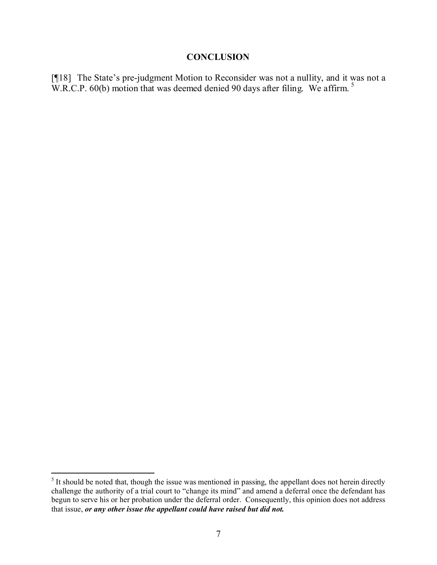### **CONCLUSION**

[¶18] The State's pre-judgment Motion to Reconsider was not a nullity, and it was not a W.R.C.P. 60(b) motion that was deemed denied 90 days after filing. We affirm.<sup>5</sup>

<sup>&</sup>lt;sup>5</sup> It should be noted that, though the issue was mentioned in passing, the appellant does not herein directly challenge the authority of a trial court to "change its mind" and amend a deferral once the defendant has begun to serve his or her probation under the deferral order. Consequently, this opinion does not address that issue, *or any other issue the appellant could have raised but did not.*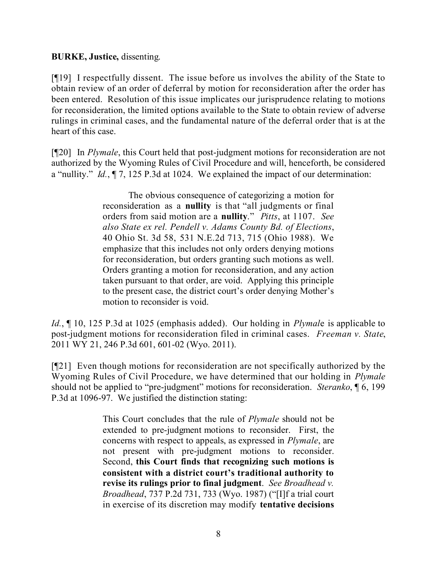## **BURKE, Justice,** dissenting.

[¶19] I respectfully dissent. The issue before us involves the ability of the State to obtain review of an order of deferral by motion for reconsideration after the order has been entered. Resolution of this issue implicates our jurisprudence relating to motions for reconsideration, the limited options available to the State to obtain review of adverse rulings in criminal cases, and the fundamental nature of the deferral order that is at the heart of this case.

[¶20] In *Plymale*, this Court held that post-judgment motions for reconsideration are not authorized by the Wyoming Rules of Civil Procedure and will, henceforth, be considered a "nullity." *Id.*, ¶ 7, 125 P.3d at 1024. We explained the impact of our determination:

> The obvious consequence of categorizing a motion for reconsideration as a **nullity** is that "all judgments or final orders from said motion are a **nullity**." *Pitts*, at 1107. *See also State ex rel. Pendell v. Adams County Bd. of Elections*, 40 Ohio St. 3d 58, 531 N.E.2d 713, 715 (Ohio 1988). We emphasize that this includes not only orders denying motions for reconsideration, but orders granting such motions as well. Orders granting a motion for reconsideration, and any action taken pursuant to that order, are void. Applying this principle to the present case, the district court's order denying Mother's motion to reconsider is void.

*Id.*, ¶ 10, 125 P.3d at 1025 (emphasis added). Our holding in *Plymal*e is applicable to post-judgment motions for reconsideration filed in criminal cases. *Freeman v. State*, 2011 WY 21, 246 P.3d 601, 601-02 (Wyo. 2011).

[¶21] Even though motions for reconsideration are not specifically authorized by the Wyoming Rules of Civil Procedure, we have determined that our holding in *Plymale*  should not be applied to "pre-judgment" motions for reconsideration. *Steranko*, ¶ 6, 199 P.3d at 1096-97. We justified the distinction stating:

> This Court concludes that the rule of *Plymale* should not be extended to pre-judgment motions to reconsider. First, the concerns with respect to appeals, as expressed in *Plymale*, are not present with pre-judgment motions to reconsider. Second, **this Court finds that recognizing such motions is consistent with a district court's traditional authority to revise its rulings prior to final judgment**. *See Broadhead v. Broadhead*, 737 P.2d 731, 733 (Wyo. 1987) ("[I]f a trial court in exercise of its discretion may modify **tentative decisions**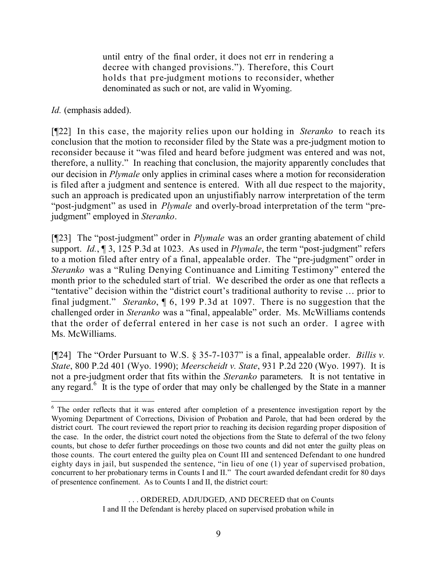until entry of the final order, it does not err in rendering a decree with changed provisions."). Therefore, this Court holds that pre-judgment motions to reconsider, whether denominated as such or not, are valid in Wyoming.

*Id.* (emphasis added).

[¶22] In this case, the majority relies upon our holding in *Steranko* to reach its conclusion that the motion to reconsider filed by the State was a pre-judgment motion to reconsider because it "was filed and heard before judgment was entered and was not, therefore, a nullity." In reaching that conclusion, the majority apparently concludes that our decision in *Plymale* only applies in criminal cases where a motion for reconsideration is filed after a judgment and sentence is entered. With all due respect to the majority, such an approach is predicated upon an unjustifiably narrow interpretation of the term "post-judgment" as used in *Plymale* and overly-broad interpretation of the term "prejudgment" employed in *Steranko*.

[¶23] The "post-judgment" order in *Plymale* was an order granting abatement of child support. *Id.*, ¶ 3, 125 P.3d at 1023. As used in *Plymale*, the term "post-judgment" refers to a motion filed after entry of a final, appealable order. The "pre-judgment" order in *Steranko* was a "Ruling Denying Continuance and Limiting Testimony" entered the month prior to the scheduled start of trial. We described the order as one that reflects a "tentative" decision within the "district court's traditional authority to revise … prior to final judgment." *Steranko*, ¶ 6, 199 P.3d at 1097. There is no suggestion that the challenged order in *Steranko* was a "final, appealable" order. Ms. McWilliams contends that the order of deferral entered in her case is not such an order. I agree with Ms. McWilliams.

[¶24] The "Order Pursuant to W.S. § 35-7-1037" is a final, appealable order. *Billis v. State*, 800 P.2d 401 (Wyo. 1990); *Meerscheidt v. State*, 931 P.2d 220 (Wyo. 1997). It is not a pre-judgment order that fits within the *Steranko* parameters. It is not tentative in any regard.<sup>6</sup> It is the type of order that may only be challenged by the State in a manner

. . . ORDERED, ADJUDGED, AND DECREED that on Counts I and II the Defendant is hereby placed on supervised probation while in

  $6$  The order reflects that it was entered after completion of a presentence investigation report by the Wyoming Department of Corrections, Division of Probation and Parole, that had been ordered by the district court. The court reviewed the report prior to reaching its decision regarding proper disposition of the case. In the order, the district court noted the objections from the State to deferral of the two felony counts, but chose to defer further proceedings on those two counts and did not enter the guilty pleas on those counts. The court entered the guilty plea on Count III and sentenced Defendant to one hundred eighty days in jail, but suspended the sentence, "in lieu of one (1) year of supervised probation, concurrent to her probationary terms in Counts I and II." The court awarded defendant credit for 80 days of presentence confinement. As to Counts I and II, the district court: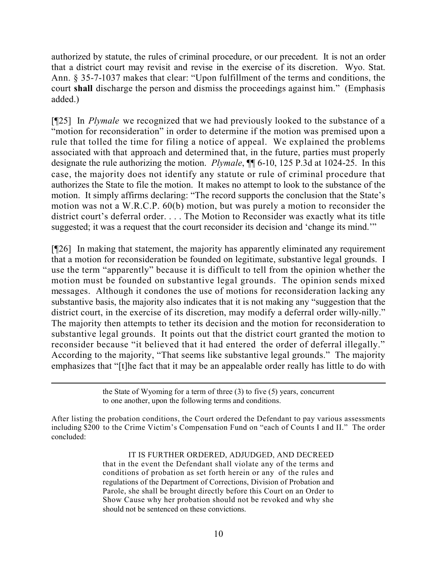authorized by statute, the rules of criminal procedure, or our precedent. It is not an order that a district court may revisit and revise in the exercise of its discretion. Wyo. Stat. Ann. § 35-7-1037 makes that clear: "Upon fulfillment of the terms and conditions, the court **shall** discharge the person and dismiss the proceedings against him." (Emphasis added.)

[¶25] In *Plymale* we recognized that we had previously looked to the substance of a "motion for reconsideration" in order to determine if the motion was premised upon a rule that tolled the time for filing a notice of appeal. We explained the problems associated with that approach and determined that, in the future, parties must properly designate the rule authorizing the motion. *Plymale*, ¶¶ 6-10, 125 P.3d at 1024-25. In this case, the majority does not identify any statute or rule of criminal procedure that authorizes the State to file the motion. It makes no attempt to look to the substance of the motion. It simply affirms declaring: "The record supports the conclusion that the State's motion was not a W.R.C.P. 60(b) motion, but was purely a motion to reconsider the district court's deferral order. . . . The Motion to Reconsider was exactly what its title suggested; it was a request that the court reconsider its decision and 'change its mind.'"

[¶26] In making that statement, the majority has apparently eliminated any requirement that a motion for reconsideration be founded on legitimate, substantive legal grounds. I use the term "apparently" because it is difficult to tell from the opinion whether the motion must be founded on substantive legal grounds. The opinion sends mixed messages. Although it condones the use of motions for reconsideration lacking any substantive basis, the majority also indicates that it is not making any "suggestion that the district court, in the exercise of its discretion, may modify a deferral order willy-nilly." The majority then attempts to tether its decision and the motion for reconsideration to substantive legal grounds. It points out that the district court granted the motion to reconsider because "it believed that it had entered the order of deferral illegally." According to the majority, "That seems like substantive legal grounds." The majority emphasizes that "[t]he fact that it may be an appealable order really has little to do with

IT IS FURTHER ORDERED, ADJUDGED, AND DECREED

that in the event the Defendant shall violate any of the terms and conditions of probation as set forth herein or any of the rules and regulations of the Department of Corrections, Division of Probation and Parole, she shall be brought directly before this Court on an Order to Show Cause why her probation should not be revoked and why she should not be sentenced on these convictions.

the State of Wyoming for a term of three (3) to five (5) years, concurrent to one another, upon the following terms and conditions.

After listing the probation conditions, the Court ordered the Defendant to pay various assessments including \$200 to the Crime Victim's Compensation Fund on "each of Counts I and II." The order concluded: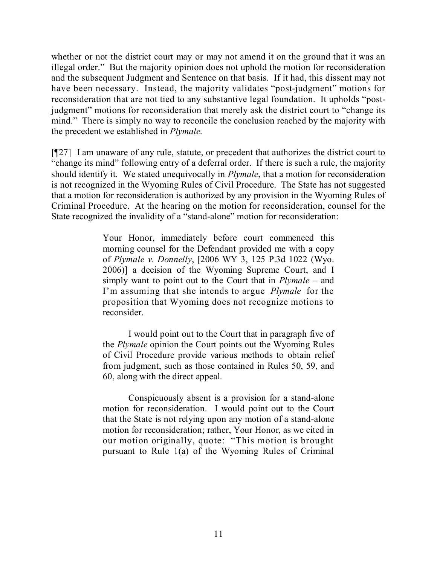whether or not the district court may or may not amend it on the ground that it was an illegal order." But the majority opinion does not uphold the motion for reconsideration and the subsequent Judgment and Sentence on that basis. If it had, this dissent may not have been necessary. Instead, the majority validates "post-judgment" motions for reconsideration that are not tied to any substantive legal foundation. It upholds "postjudgment" motions for reconsideration that merely ask the district court to "change its mind." There is simply no way to reconcile the conclusion reached by the majority with the precedent we established in *Plymale.*

[¶27] I am unaware of any rule, statute, or precedent that authorizes the district court to "change its mind" following entry of a deferral order. If there is such a rule, the majority should identify it. We stated unequivocally in *Plymale*, that a motion for reconsideration is not recognized in the Wyoming Rules of Civil Procedure. The State has not suggested that a motion for reconsideration is authorized by any provision in the Wyoming Rules of Criminal Procedure. At the hearing on the motion for reconsideration, counsel for the State recognized the invalidity of a "stand-alone" motion for reconsideration:

> Your Honor, immediately before court commenced this morning counsel for the Defendant provided me with a copy of *Plymale v. Donnelly*, [2006 WY 3, 125 P.3d 1022 (Wyo. 2006)] a decision of the Wyoming Supreme Court, and I simply want to point out to the Court that in *Plymale* – and I'm assuming that she intends to argue *Plymale* for the proposition that Wyoming does not recognize motions to reconsider.

> I would point out to the Court that in paragraph five of the *Plymale* opinion the Court points out the Wyoming Rules of Civil Procedure provide various methods to obtain relief from judgment, such as those contained in Rules 50, 59, and 60, along with the direct appeal.

> Conspicuously absent is a provision for a stand-alone motion for reconsideration. I would point out to the Court that the State is not relying upon any motion of a stand-alone motion for reconsideration; rather, Your Honor, as we cited in our motion originally, quote: "This motion is brought pursuant to Rule 1(a) of the Wyoming Rules of Criminal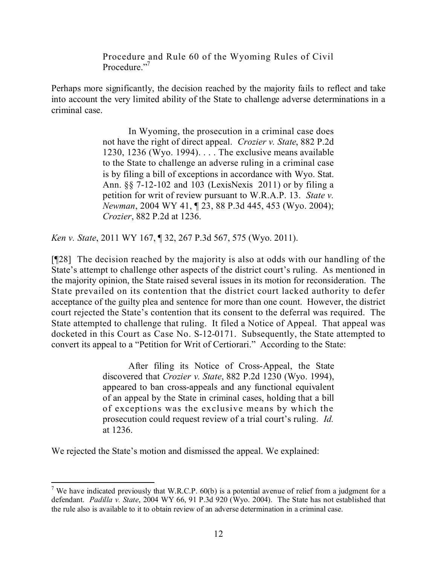Procedure and Rule 60 of the Wyoming Rules of Civil Procedure."<sup>7</sup>

Perhaps more significantly, the decision reached by the majority fails to reflect and take into account the very limited ability of the State to challenge adverse determinations in a criminal case.

> In Wyoming, the prosecution in a criminal case does not have the right of direct appeal. *Crozier v. State*, 882 P.2d 1230, 1236 (Wyo. 1994). . . . The exclusive means available to the State to challenge an adverse ruling in a criminal case is by filing a bill of exceptions in accordance with Wyo. Stat. Ann. §§ 7-12-102 and 103 (LexisNexis 2011) or by filing a petition for writ of review pursuant to W.R.A.P. 13. *State v. Newman*, 2004 WY 41, ¶ 23, 88 P.3d 445, 453 (Wyo. 2004); *Crozier*, 882 P.2d at 1236.

*Ken v. State*, 2011 WY 167, ¶ 32, 267 P.3d 567, 575 (Wyo. 2011).

[¶28] The decision reached by the majority is also at odds with our handling of the State's attempt to challenge other aspects of the district court's ruling. As mentioned in the majority opinion, the State raised several issues in its motion for reconsideration. The State prevailed on its contention that the district court lacked authority to defer acceptance of the guilty plea and sentence for more than one count. However, the district court rejected the State's contention that its consent to the deferral was required. The State attempted to challenge that ruling. It filed a Notice of Appeal. That appeal was docketed in this Court as Case No. S-12-0171. Subsequently, the State attempted to convert its appeal to a "Petition for Writ of Certiorari." According to the State:

> After filing its Notice of Cross-Appeal, the State discovered that *Crozier v. State*, 882 P.2d 1230 (Wyo. 1994), appeared to ban cross-appeals and any functional equivalent of an appeal by the State in criminal cases, holding that a bill of exceptions was the exclusive means by which the prosecution could request review of a trial court's ruling. *Id.*  at 1236.

We rejected the State's motion and dismissed the appeal. We explained:

 <sup>7</sup> We have indicated previously that W.R.C.P.  $60(b)$  is a potential avenue of relief from a judgment for a defendant. *Padilla v. State*, 2004 WY 66, 91 P.3d 920 (Wyo. 2004). The State has not established that the rule also is available to it to obtain review of an adverse determination in a criminal case.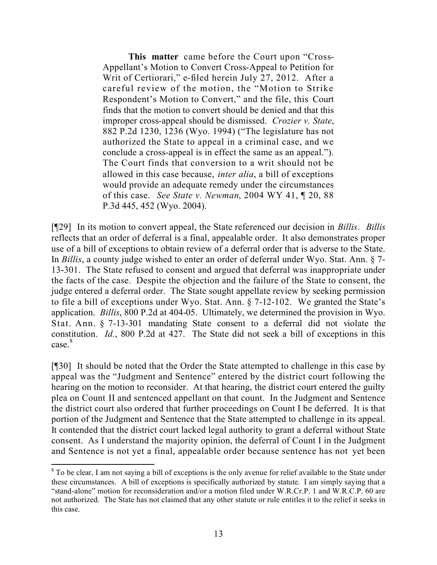**This matter** came before the Court upon "Cross-Appellant's Motion to Convert Cross-Appeal to Petition for Writ of Certiorari," e-filed herein July 27, 2012. After a careful review of the motion, the "Motion to Strike Respondent's Motion to Convert," and the file, this Court finds that the motion to convert should be denied and that this improper cross-appeal should be dismissed. *Crozier v. State*, 882 P.2d 1230, 1236 (Wyo. 1994) ("The legislature has not authorized the State to appeal in a criminal case, and we conclude a cross-appeal is in effect the same as an appeal."). The Court finds that conversion to a writ should not be allowed in this case because, *inter alia*, a bill of exceptions would provide an adequate remedy under the circumstances of this case. *See State v. Newman*, 2004 WY 41, ¶ 20, 88 P.3d 445, 452 (Wyo. 2004).

[¶29] In its motion to convert appeal, the State referenced our decision in *Billis*. *Billis* reflects that an order of deferral is a final, appealable order. It also demonstrates proper use of a bill of exceptions to obtain review of a deferral order that is adverse to the State. In *Billis*, a county judge wished to enter an order of deferral under Wyo. Stat. Ann. § 7- 13-301. The State refused to consent and argued that deferral was inappropriate under the facts of the case. Despite the objection and the failure of the State to consent, the judge entered a deferral order. The State sought appellate review by seeking permission to file a bill of exceptions under Wyo. Stat. Ann. § 7-12-102. We granted the State's application. *Billis*, 800 P.2d at 404-05. Ultimately, we determined the provision in Wyo. Stat. Ann. § 7-13-301 mandating State consent to a deferral did not violate the constitution. *Id.*, 800 P.2d at 427. The State did not seek a bill of exceptions in this case. 8

[¶30] It should be noted that the Order the State attempted to challenge in this case by appeal was the "Judgment and Sentence" entered by the district court following the hearing on the motion to reconsider. At that hearing, the district court entered the guilty plea on Count II and sentenced appellant on that count. In the Judgment and Sentence the district court also ordered that further proceedings on Count I be deferred. It is that portion of the Judgment and Sentence that the State attempted to challenge in its appeal. It contended that the district court lacked legal authority to grant a deferral without State consent. As I understand the majority opinion, the deferral of Count I in the Judgment and Sentence is not yet a final, appealable order because sentence has not yet been

 <sup>8</sup> To be clear, I am not saying a bill of exceptions is the only avenue for relief available to the State under these circumstances. A bill of exceptions is specifically authorized by statute. I am simply saying that a "stand-alone" motion for reconsideration and/or a motion filed under W.R.Cr.P. 1 and W.R.C.P. 60 are not authorized. The State has not claimed that any other statute or rule entitles it to the relief it seeks in this case.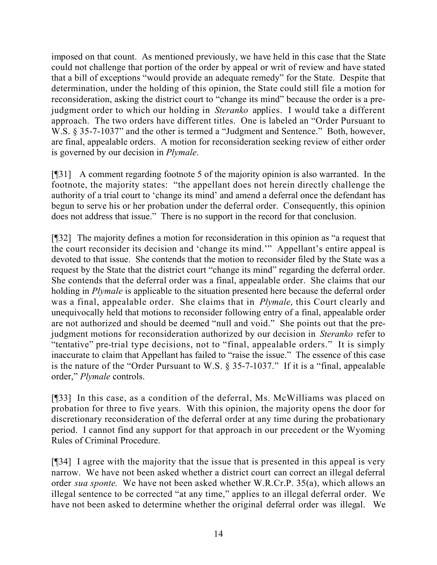imposed on that count. As mentioned previously, we have held in this case that the State could not challenge that portion of the order by appeal or writ of review and have stated that a bill of exceptions "would provide an adequate remedy" for the State. Despite that determination, under the holding of this opinion, the State could still file a motion for reconsideration, asking the district court to "change its mind" because the order is a prejudgment order to which our holding in *Steranko* applies. I would take a different approach. The two orders have different titles. One is labeled an "Order Pursuant to W.S. § 35-7-1037" and the other is termed a "Judgment and Sentence." Both, however, are final, appealable orders. A motion for reconsideration seeking review of either order is governed by our decision in *Plymale*.

[¶31] A comment regarding footnote 5 of the majority opinion is also warranted. In the footnote, the majority states: "the appellant does not herein directly challenge the authority of a trial court to 'change its mind' and amend a deferral once the defendant has begun to serve his or her probation under the deferral order. Consequently, this opinion does not address that issue." There is no support in the record for that conclusion.

[¶32] The majority defines a motion for reconsideration in this opinion as "a request that the court reconsider its decision and 'change its mind.'" Appellant's entire appeal is devoted to that issue. She contends that the motion to reconsider filed by the State was a request by the State that the district court "change its mind" regarding the deferral order. She contends that the deferral order was a final, appealable order. She claims that our holding in *Plymale* is applicable to the situation presented here because the deferral order was a final, appealable order. She claims that in *Plymale*, this Court clearly and unequivocally held that motions to reconsider following entry of a final, appealable order are not authorized and should be deemed "null and void." She points out that the prejudgment motions for reconsideration authorized by our decision in *Steranko* refer to "tentative" pre-trial type decisions, not to "final, appealable orders." It is simply inaccurate to claim that Appellant has failed to "raise the issue." The essence of this case is the nature of the "Order Pursuant to W.S. § 35-7-1037." If it is a "final, appealable order," *Plymale* controls.

[¶33] In this case, as a condition of the deferral, Ms. McWilliams was placed on probation for three to five years. With this opinion, the majority opens the door for discretionary reconsideration of the deferral order at any time during the probationary period. I cannot find any support for that approach in our precedent or the Wyoming Rules of Criminal Procedure.

[¶34] I agree with the majority that the issue that is presented in this appeal is very narrow. We have not been asked whether a district court can correct an illegal deferral order *sua sponte*. We have not been asked whether W.R.Cr.P. 35(a), which allows an illegal sentence to be corrected "at any time," applies to an illegal deferral order. We have not been asked to determine whether the original deferral order was illegal. We